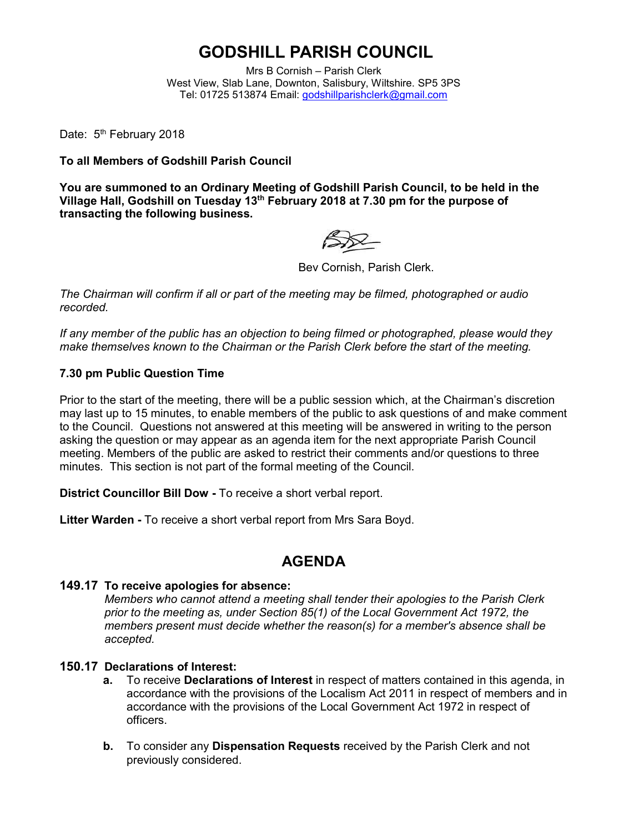# **GODSHILL PARISH COUNCIL**

Mrs B Cornish – Parish Clerk West View, Slab Lane, Downton, Salisbury, Wiltshire. SP5 3PS Tel: 01725 513874 Email: [godshillparishclerk@gmail.com](mailto:godshillparishclerk@gmail.com)

Date: 5<sup>th</sup> February 2018

**To all Members of Godshill Parish Council**

**You are summoned to an Ordinary Meeting of Godshill Parish Council, to be held in the Village Hall, Godshill on Tuesday 13th February 2018 at 7.30 pm for the purpose of transacting the following business.**

Bev Cornish, Parish Clerk.

*The Chairman will confirm if all or part of the meeting may be filmed, photographed or audio recorded.*

*If any member of the public has an objection to being filmed or photographed, please would they make themselves known to the Chairman or the Parish Clerk before the start of the meeting.*

### **7.30 pm Public Question Time**

Prior to the start of the meeting, there will be a public session which, at the Chairman's discretion may last up to 15 minutes, to enable members of the public to ask questions of and make comment to the Council. Questions not answered at this meeting will be answered in writing to the person asking the question or may appear as an agenda item for the next appropriate Parish Council meeting. Members of the public are asked to restrict their comments and/or questions to three minutes. This section is not part of the formal meeting of the Council.

**District Councillor Bill Dow -** To receive a short verbal report.

**Litter Warden -** To receive a short verbal report from Mrs Sara Boyd.

## **AGENDA**

### **149.17 To receive apologies for absence:**

*Members who cannot attend a meeting shall tender their apologies to the Parish Clerk prior to the meeting as, under Section 85(1) of the Local Government Act 1972, the members present must decide whether the reason(s) for a member's absence shall be accepted.*

### **150.17 Declarations of Interest:**

- **a.** To receive **Declarations of Interest** in respect of matters contained in this agenda, in accordance with the provisions of the Localism Act 2011 in respect of members and in accordance with the provisions of the Local Government Act 1972 in respect of officers.
- **b.** To consider any **Dispensation Requests** received by the Parish Clerk and not previously considered.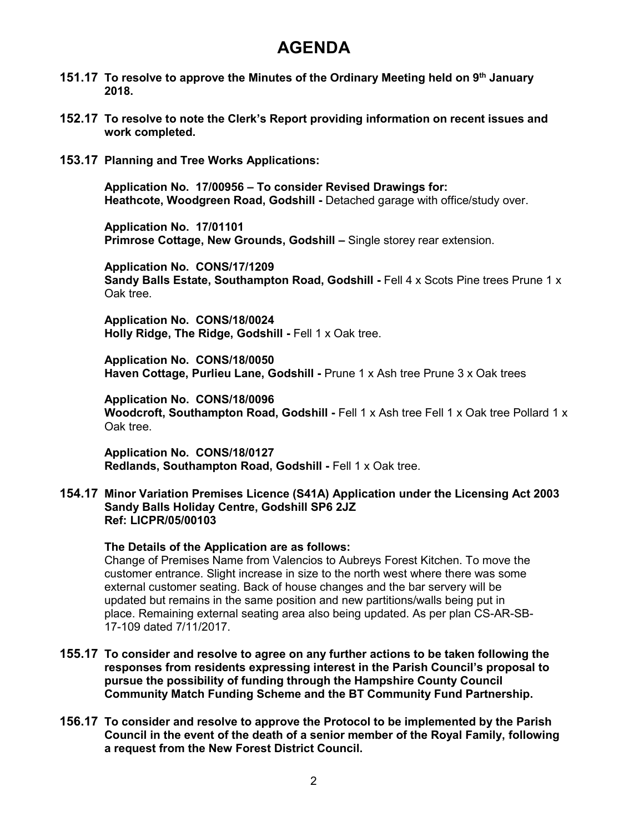## **AGENDA**

- **151.17 To resolve to approve the Minutes of the Ordinary Meeting held on 9 th January 2018.**
- **152.17 To resolve to note the Clerk's Report providing information on recent issues and work completed.**
- **153.17 Planning and Tree Works Applications:**

**Application No. 17/00956 – To consider Revised Drawings for: Heathcote, Woodgreen Road, Godshill -** Detached garage with office/study over.

**Application No. 17/01101 Primrose Cottage, New Grounds, Godshill – Single storey rear extension.** 

**Application No. CONS/17/1209 Sandy Balls Estate, Southampton Road, Godshill - Fell 4 x Scots Pine trees Prune 1 x** Oak tree.

**Application No. CONS/18/0024 Holly Ridge, The Ridge, Godshill -** Fell 1 x Oak tree.

**Application No. CONS/18/0050 Haven Cottage, Purlieu Lane, Godshill -** Prune 1 x Ash tree Prune 3 x Oak trees

**Application No. CONS/18/0096 Woodcroft, Southampton Road, Godshill -** Fell 1 x Ash tree Fell 1 x Oak tree Pollard 1 x Oak tree.

**Application No. CONS/18/0127 Redlands, Southampton Road, Godshill -** Fell 1 x Oak tree.

**154.17 Minor Variation Premises Licence (S41A) Application under the Licensing Act 2003 Sandy Balls Holiday Centre, Godshill SP6 2JZ Ref: LICPR/05/00103**

#### **The Details of the Application are as follows:**

Change of Premises Name from Valencios to Aubreys Forest Kitchen. To move the customer entrance. Slight increase in size to the north west where there was some external customer seating. Back of house changes and the bar servery will be updated but remains in the same position and new partitions/walls being put in place. Remaining external seating area also being updated. As per plan CS-AR-SB-17-109 dated 7/11/2017.

- **155.17 To consider and resolve to agree on any further actions to be taken following the responses from residents expressing interest in the Parish Council's proposal to pursue the possibility of funding through the Hampshire County Council Community Match Funding Scheme and the BT Community Fund Partnership.**
- **156.17 To consider and resolve to approve the Protocol to be implemented by the Parish Council in the event of the death of a senior member of the Royal Family, following a request from the New Forest District Council.**